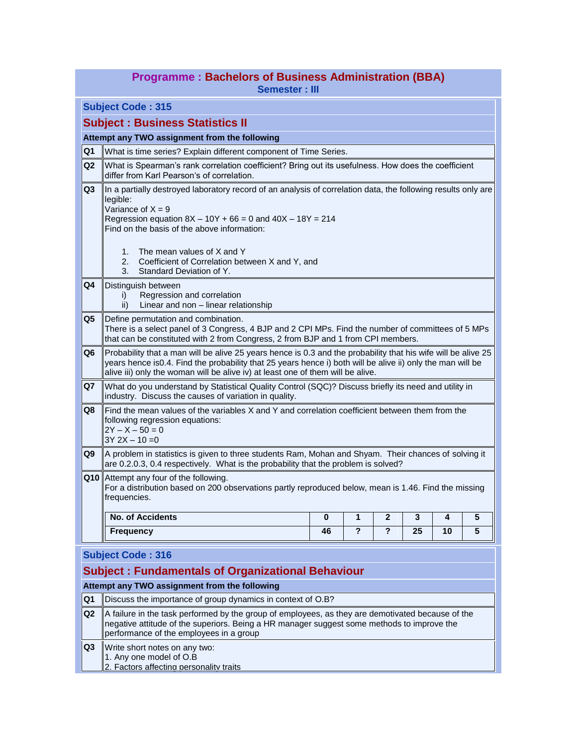| <b>Programme: Bachelors of Business Administration (BBA)</b> |  |  |  |  |  |
|--------------------------------------------------------------|--|--|--|--|--|
|--------------------------------------------------------------|--|--|--|--|--|

**Semester : III**

**Subject Code : 315**

## **Subject : Business Statistics II**

## **Attempt any TWO assignment from the following**

| Q <sub>1</sub> | What is time series? Explain different component of Time Series.                                                                                                                                                                                                                                               |
|----------------|----------------------------------------------------------------------------------------------------------------------------------------------------------------------------------------------------------------------------------------------------------------------------------------------------------------|
| Q <sub>2</sub> | What is Spearman's rank correlation coefficient? Bring out its usefulness. How does the coefficient<br>differ from Karl Pearson's of correlation.                                                                                                                                                              |
| Q3             | In a partially destroyed laboratory record of an analysis of correlation data, the following results only are<br>legible:<br>Variance of $X = 9$<br>Regression equation $8X - 10Y + 66 = 0$ and $40X - 18Y = 214$<br>Find on the basis of the above information:                                               |
|                | The mean values of X and Y<br>1.<br>2.<br>Coefficient of Correlation between X and Y, and<br>Standard Deviation of Y.<br>3.                                                                                                                                                                                    |
| Q <sub>4</sub> | Distinguish between<br>Regression and correlation<br>i)<br>Linear and non - linear relationship<br>ii)                                                                                                                                                                                                         |
| IQ5            | Define permutation and combination.<br>There is a select panel of 3 Congress, 4 BJP and 2 CPI MPs. Find the number of committees of 5 MPs<br>that can be constituted with 2 from Congress, 2 from BJP and 1 from CPI members.                                                                                  |
| Q <sub>6</sub> | Probability that a man will be alive 25 years hence is 0.3 and the probability that his wife will be alive 25<br>years hence is0.4. Find the probability that 25 years hence i) both will be alive ii) only the man will be<br>alive iii) only the woman will be alive iv) at least one of them will be alive. |
| Q7             | What do you understand by Statistical Quality Control (SQC)? Discuss briefly its need and utility in<br>industry. Discuss the causes of variation in quality.                                                                                                                                                  |
| Q8             | Find the mean values of the variables X and Y and correlation coefficient between them from the<br>following regression equations:<br>$2Y - X - 50 = 0$<br>$3Y 2X - 10 = 0$                                                                                                                                    |
| Q9             | A problem in statistics is given to three students Ram, Mohan and Shyam. Their chances of solving it<br>are 0.2.0.3, 0.4 respectively. What is the probability that the problem is solved?                                                                                                                     |
|                | Q10 Attempt any four of the following.<br>For a distribution based on 200 observations partly reproduced below, mean is 1.46. Find the missing<br>frequencies.                                                                                                                                                 |
|                | <b>No. of Accidents</b><br>$\mathbf{2}$<br>3<br>$\overline{\mathbf{5}}$<br>$\bf{0}$<br>1<br>4                                                                                                                                                                                                                  |
|                | 2<br>$\mathbf{P}$<br>5<br>25<br>10<br><b>Frequency</b><br>46                                                                                                                                                                                                                                                   |
|                | $1.16$ is at $0.648 \pm 0.002$                                                                                                                                                                                                                                                                                 |

#### **Subject Code : 316**

# **Subject : Fundamentals of Organizational Behaviour**

## **Attempt any TWO assignment from the following**

- **Q1** Discuss the importance of group dynamics in context of O.B?
- **Q2** A failure in the task performed by the group of employees, as they are demotivated because of the negative attitude of the superiors. Being a HR manager suggest some methods to improve the performance of the employees in a group

**Q3** Write short notes on any two:

1. Any one model of O.B

2. Factors affecting personality traits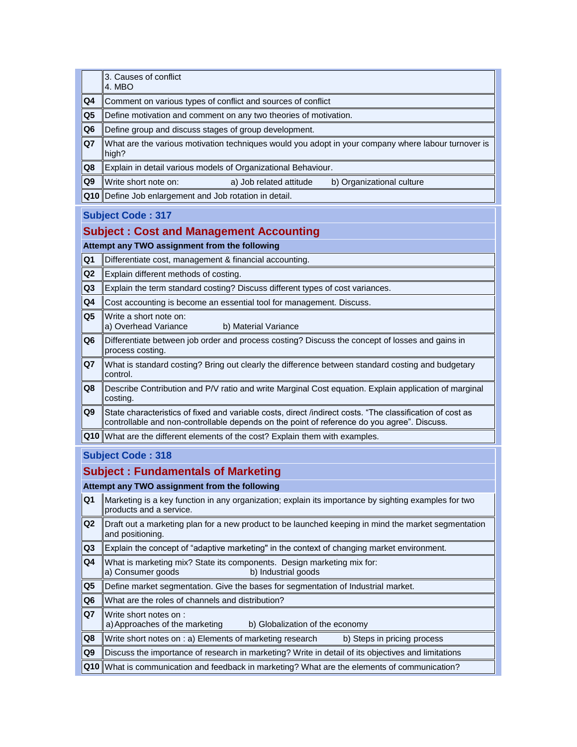|                | 3. Causes of conflict<br>4. MBO                                                                                                                                                                          |
|----------------|----------------------------------------------------------------------------------------------------------------------------------------------------------------------------------------------------------|
| Q4             | Comment on various types of conflict and sources of conflict                                                                                                                                             |
| Q5             | Define motivation and comment on any two theories of motivation.                                                                                                                                         |
| Q6             | Define group and discuss stages of group development.                                                                                                                                                    |
| Q7             | What are the various motivation techniques would you adopt in your company where labour turnover is<br>high?                                                                                             |
| Q8             | Explain in detail various models of Organizational Behaviour.                                                                                                                                            |
| Q9             | Write short note on:<br>a) Job related attitude<br>b) Organizational culture                                                                                                                             |
| Q10            | Define Job enlargement and Job rotation in detail.                                                                                                                                                       |
|                | <b>Subject Code: 317</b>                                                                                                                                                                                 |
|                | <b>Subject: Cost and Management Accounting</b>                                                                                                                                                           |
|                | Attempt any TWO assignment from the following                                                                                                                                                            |
| Q <sub>1</sub> | Differentiate cost, management & financial accounting.                                                                                                                                                   |
| Q <sub>2</sub> | Explain different methods of costing.                                                                                                                                                                    |
| Q <sub>3</sub> | Explain the term standard costing? Discuss different types of cost variances.                                                                                                                            |
| Q4             | Cost accounting is become an essential tool for management. Discuss.                                                                                                                                     |
| Q <sub>5</sub> | Write a short note on:<br>a) Overhead Variance<br>b) Material Variance                                                                                                                                   |
| Q <sub>6</sub> | Differentiate between job order and process costing? Discuss the concept of losses and gains in<br>process costing.                                                                                      |
| Q <sub>7</sub> | What is standard costing? Bring out clearly the difference between standard costing and budgetary<br>control.                                                                                            |
| Q8             | Describe Contribution and P/V ratio and write Marginal Cost equation. Explain application of marginal<br>costing.                                                                                        |
| Q <sub>9</sub> | State characteristics of fixed and variable costs, direct /indirect costs. "The classification of cost as<br>controllable and non-controllable depends on the point of reference do you agree". Discuss. |
| Q10            | What are the different elements of the cost? Explain them with examples.                                                                                                                                 |
|                | <b>Subject Code: 318</b>                                                                                                                                                                                 |
|                | <b>Subject: Fundamentals of Marketing</b>                                                                                                                                                                |
|                | Attempt any TWO assignment from the following                                                                                                                                                            |
| Q1             | Marketing is a key function in any organization; explain its importance by sighting examples for two<br>products and a service.                                                                          |
| Q <sub>2</sub> | Draft out a marketing plan for a new product to be launched keeping in mind the market segmentation                                                                                                      |

- and positioning.
- **Q3** Explain the concept of "adaptive marketing" in the context of changing market environment.
- **Q4** What is marketing mix? State its components. Design marketing mix for:<br>a) Consumer goods b) Industrial goods a) Consumer goods
- **Q5** Define market segmentation. Give the bases for segmentation of Industrial market.
- **Q6** What are the roles of channels and distribution?
- 

**Q7** Write short notes on :<br>a) Approaches of the marketing b) Globalization of the economy

- **Q8** Write short notes on : a) Elements of marketing research b) Steps in pricing process
- **Q9** Discuss the importance of research in marketing? Write in detail of its objectives and limitations
- **Q10** What is communication and feedback in marketing? What are the elements of communication?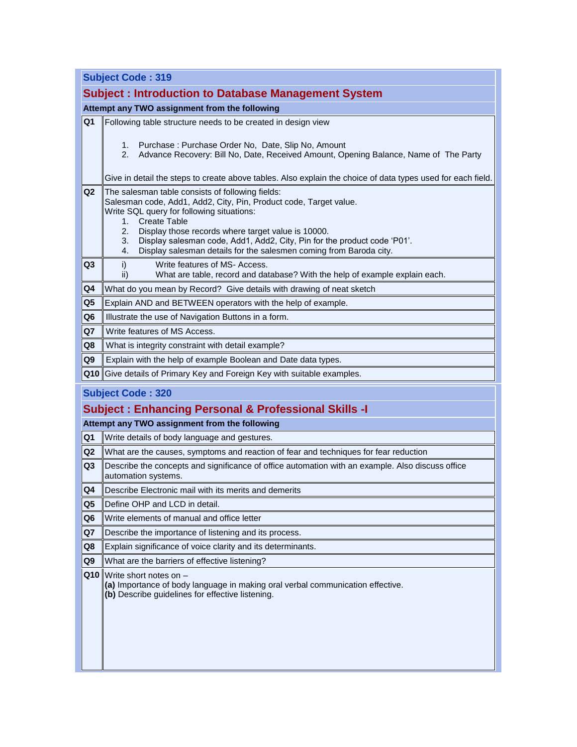|  |  |  | <b>Subject Code: 319</b> |
|--|--|--|--------------------------|
|--|--|--|--------------------------|

|                | <b>Subject: Introduction to Database Management System</b>                                                                                                                                                                                                                                                                                                                                                      |
|----------------|-----------------------------------------------------------------------------------------------------------------------------------------------------------------------------------------------------------------------------------------------------------------------------------------------------------------------------------------------------------------------------------------------------------------|
|                | Attempt any TWO assignment from the following                                                                                                                                                                                                                                                                                                                                                                   |
| Q <sub>1</sub> | Following table structure needs to be created in design view                                                                                                                                                                                                                                                                                                                                                    |
|                | Purchase: Purchase Order No, Date, Slip No, Amount<br>1.<br>Advance Recovery: Bill No, Date, Received Amount, Opening Balance, Name of The Party<br>2.                                                                                                                                                                                                                                                          |
|                | Give in detail the steps to create above tables. Also explain the choice of data types used for each field.                                                                                                                                                                                                                                                                                                     |
| Q <sub>2</sub> | The salesman table consists of following fields:<br>Salesman code, Add1, Add2, City, Pin, Product code, Target value.<br>Write SQL query for following situations:<br>1. Create Table<br>2.<br>Display those records where target value is 10000.<br>Display salesman code, Add1, Add2, City, Pin for the product code 'P01'.<br>3.<br>Display salesman details for the salesmen coming from Baroda city.<br>4. |
| Q <sub>3</sub> | Write features of MS- Access.<br>i)<br>What are table, record and database? With the help of example explain each.<br>ii)                                                                                                                                                                                                                                                                                       |
| Q4             | What do you mean by Record? Give details with drawing of neat sketch                                                                                                                                                                                                                                                                                                                                            |
| Q <sub>5</sub> | Explain AND and BETWEEN operators with the help of example.                                                                                                                                                                                                                                                                                                                                                     |
| Q <sub>6</sub> | Illustrate the use of Navigation Buttons in a form.                                                                                                                                                                                                                                                                                                                                                             |
| Q7             | Write features of MS Access.                                                                                                                                                                                                                                                                                                                                                                                    |
| Q8             | What is integrity constraint with detail example?                                                                                                                                                                                                                                                                                                                                                               |
| Q <sub>9</sub> | Explain with the help of example Boolean and Date data types.                                                                                                                                                                                                                                                                                                                                                   |
| Q10            | Give details of Primary Key and Foreign Key with suitable examples.                                                                                                                                                                                                                                                                                                                                             |
|                | <b>Subject Code: 320</b><br><b>Subject: Enhancing Personal &amp; Professional Skills - I</b><br>Attempt any TWO assignment from the following                                                                                                                                                                                                                                                                   |
| Q <sub>1</sub> | Write details of body language and gestures.                                                                                                                                                                                                                                                                                                                                                                    |
| Q <sub>2</sub> | What are the causes, symptoms and reaction of fear and techniques for fear reduction                                                                                                                                                                                                                                                                                                                            |
| Q <sub>3</sub> | Describe the concepts and significance of office automation with an example. Also discuss office<br>automation systems.                                                                                                                                                                                                                                                                                         |
| Q4             | Describe Electronic mail with its merits and demerits                                                                                                                                                                                                                                                                                                                                                           |
| Q <sub>5</sub> | Define OHP and LCD in detail.                                                                                                                                                                                                                                                                                                                                                                                   |
| Q <sub>6</sub> | Write elements of manual and office letter                                                                                                                                                                                                                                                                                                                                                                      |
| Q7             | Describe the importance of listening and its process.                                                                                                                                                                                                                                                                                                                                                           |
| Q8             | Explain significance of voice clarity and its determinants.                                                                                                                                                                                                                                                                                                                                                     |
| Q9             | What are the barriers of effective listening?                                                                                                                                                                                                                                                                                                                                                                   |
| Q10            | Write short notes on -<br>(a) Importance of body language in making oral verbal communication effective.<br>(b) Describe guidelines for effective listening.                                                                                                                                                                                                                                                    |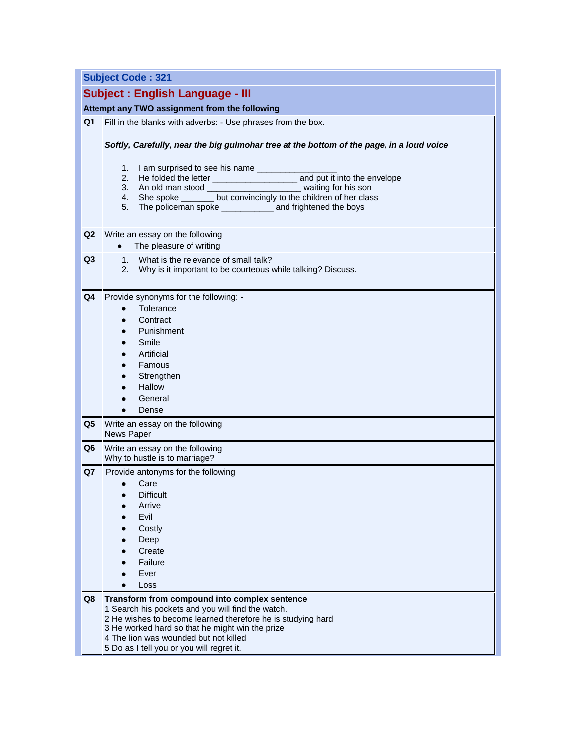|                | <b>Subject Code: 321</b>                                                                                                          |
|----------------|-----------------------------------------------------------------------------------------------------------------------------------|
|                | <b>Subject: English Language - III</b>                                                                                            |
|                | Attempt any TWO assignment from the following                                                                                     |
| Q <sub>1</sub> | Fill in the blanks with adverbs: - Use phrases from the box.                                                                      |
|                |                                                                                                                                   |
|                | Softly, Carefully, near the big gulmohar tree at the bottom of the page, in a loud voice                                          |
|                | I am surprised to see his name ___________<br>1.                                                                                  |
|                |                                                                                                                                   |
|                | 3. An old man stood _________________________ waiting for his son                                                                 |
|                | 4. She spoke _______ but convincingly to the children of her class<br>5. The policeman spoke ____________ and frightened the boys |
|                |                                                                                                                                   |
| Q <sub>2</sub> | Write an essay on the following                                                                                                   |
|                | The pleasure of writing<br>$\bullet$                                                                                              |
| Q3             | What is the relevance of small talk?<br>1.                                                                                        |
|                | Why is it important to be courteous while talking? Discuss.<br>2.                                                                 |
| Q <sub>4</sub> | Provide synonyms for the following: -                                                                                             |
|                | Tolerance                                                                                                                         |
|                | Contract                                                                                                                          |
|                | Punishment                                                                                                                        |
|                | Smile                                                                                                                             |
|                | Artificial                                                                                                                        |
|                | Famous                                                                                                                            |
|                | Strengthen                                                                                                                        |
|                | Hallow                                                                                                                            |
|                | General                                                                                                                           |
|                | Dense                                                                                                                             |
| Q <sub>5</sub> | Write an essay on the following<br>News Paper                                                                                     |
| Q <sub>6</sub> | Write an essay on the following                                                                                                   |
|                | Why to hustle is to marriage?                                                                                                     |
| Q7             | Provide antonyms for the following                                                                                                |
|                | Care                                                                                                                              |
|                | <b>Difficult</b><br>Arrive                                                                                                        |
|                | Evil                                                                                                                              |
|                | Costly                                                                                                                            |
|                | Deep                                                                                                                              |
|                | Create                                                                                                                            |
|                | Failure                                                                                                                           |
|                | Ever                                                                                                                              |
|                | Loss                                                                                                                              |
| Q8             | Transform from compound into complex sentence                                                                                     |
|                | 1 Search his pockets and you will find the watch.                                                                                 |
|                | 2 He wishes to become learned therefore he is studying hard<br>3 He worked hard so that he might win the prize                    |
|                | 4 The lion was wounded but not killed                                                                                             |
|                | 5 Do as I tell you or you will regret it.                                                                                         |